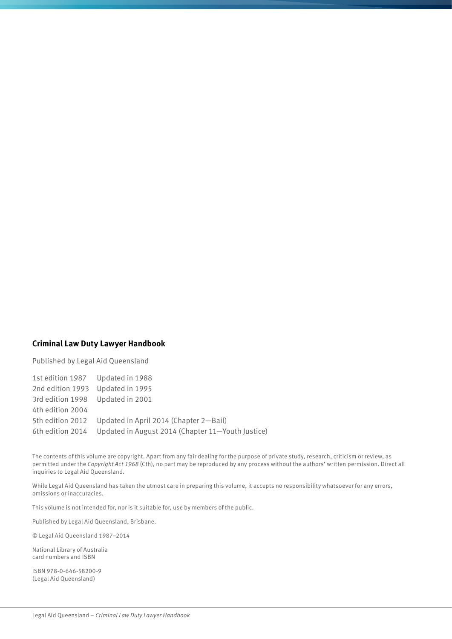## **Criminal Law Duty Lawyer Handbook**

Published by Legal Aid Queensland

1st edition 1987 Updated in 1988 2nd edition 1993 Updated in 1995 3rd edition 1998 Updated in 2001 4th edition 2004 5th edition 2012 Updated in April 2014 (Chapter 2—Bail) 6th edition 2014 Updated in August 2014 (Chapter 11—Youth Justice)

The contents of this volume are copyright. Apart from any fair dealing for the purpose of private study, research, criticism or review, as permitted under the *Copyright Act 1968* (Cth), no part may be reproduced by any process without the authors' written permission. Direct all inquiries to Legal Aid Queensland.

While Legal Aid Queensland has taken the utmost care in preparing this volume, it accepts no responsibility whatsoever for any errors, omissions or inaccuracies.

This volume is not intended for, nor is it suitable for, use by members of the public.

Published by Legal Aid Queensland, Brisbane.

© Legal Aid Queensland 1987–2014

National Library of Australia card numbers and ISBN

ISBN 978-0-646-58200-9 (Legal Aid Queensland)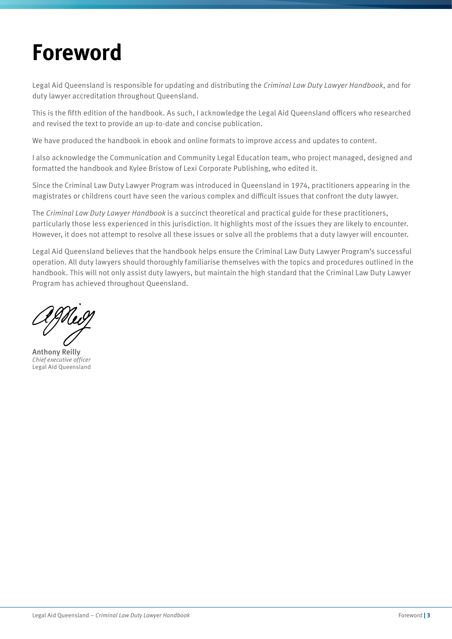## **Foreword**

Legal Aid Queensland is responsible for updating and distributing the *Criminal Law Duty Lawyer Handbook*, and for duty lawyer accreditation throughout Queensland.

This is the fifth edition of the handbook. As such, I acknowledge the Legal Aid Queensland officers who researched and revised the text to provide an up-to-date and concise publication.

We have produced the handbook in ebook and online formats to improve access and updates to content.

I also acknowledge the Communication and Community Legal Education team, who project managed, designed and formatted the handbook and Kylee Bristow of Lexi Corporate Publishing, who edited it.

Since the Criminal Law Duty Lawyer Program was introduced in Queensland in 1974, practitioners appearing in the magistrates or childrens court have seen the various complex and difficult issues that confront the duty lawyer.

The *Criminal Law Duty Lawyer Handbook* is a succinct theoretical and practical guide for these practitioners, particularly those less experienced in this jurisdiction. It highlights most of the issues they are likely to encounter. However, it does not attempt to resolve all these issues or solve all the problems that a duty lawyer will encounter.

Legal Aid Queensland believes that the handbook helps ensure the Criminal Law Duty Lawyer Program's successful operation. All duty lawyers should thoroughly familiarise themselves with the topics and procedures outlined in the handbook. This will not only assist duty lawyers, but maintain the high standard that the Criminal Law Duty Lawyer Program has achieved throughout Queensland.

Anthony Reilly *Chief executive officer* Legal Aid Queensland